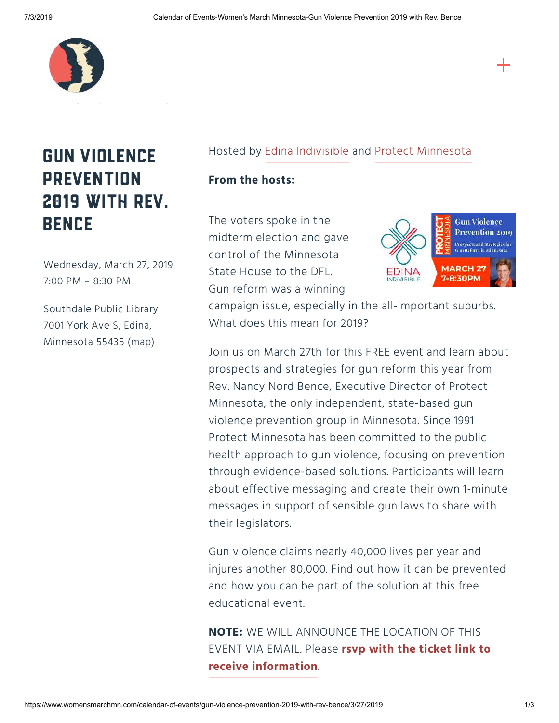

## Gun Violence **PREVENTION** 2019 with Rev. **BENCE**

Wednesday, March 27, 2019 7:00 PM – 8:30 PM

Southdale Public Library 7001 York Ave S, Edina, Minnesota 55435 [\(map\)](http://maps.google.com/?q=7001%20York%20Ave%20S%20Edina,%20Minnesota%2055435)

## Hosted by [Edina Indivisible](https://www.facebook.com/edinaindivisible/?eid=ARBSEZ01Hw10nJ7ey4j-ciEGbKOTvCL4hSGWrwvjuLcW-FKTiSy8WvCLTHcnOVymRfBFr_ykY8GwfItt) and [Protect Minnesota](https://www.facebook.com/ProtectMN/?eid=ARADsGuUn48AAV0U9YuoX-gtkUunobPKRy0CzcWNaRqcrOSm24w6rGvE7uIWXVlwOEisf-t9KwHMWlCb)

## **From the hosts:**

The voters spoke in the midterm election and gave control of the Minnesota State House to the DFL. Gun reform was a winning



campaign issue, especially in the all-important suburbs. What does this mean for 2019?

Join us on March 27th for this FREE event and learn about prospects and strategies for gun reform this year from Rev. Nancy Nord Bence, Executive Director of Protect Minnesota, the only independent, state-based gun violence prevention group in Minnesota. Since 1991 Protect Minnesota has been committed to the public health approach to gun violence, focusing on prevention through evidence-based solutions. Participants will learn about effective messaging and create their own 1-minute messages in support of sensible gun laws to share with their legislators.

Gun violence claims nearly 40,000 lives per year and injures another 80,000. Find out how it can be prevented and how you can be part of the solution at this free educational event.

**NOTE:** WE WILL ANNOUNCE THE LOCATION OF THIS EVENT VIA EMAIL. Please **[rsvp with the ticket link to](https://goo.gl/forms/BuP3KnH3hRxuWGcr1.)  receive information**.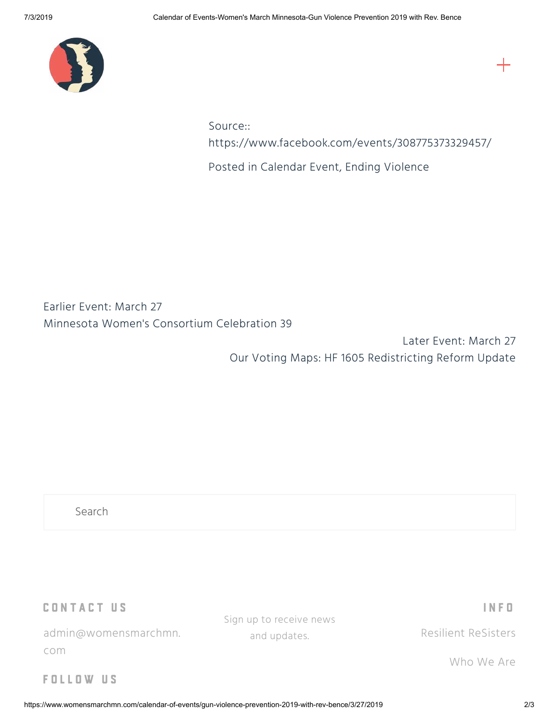

Source:: <https://www.facebook.com/events/308775373329457/>

Posted in [Calendar Event,](https://www.womensmarchmn.com/calendar-of-events?category=Calendar+Event) [Ending Violence](https://www.womensmarchmn.com/calendar-of-events?category=Ending+Violence)

Earlier Event: March 27 [Minnesota Women's Consortium Celebration 39](https://www.womensmarchmn.com/calendar-of-events/minnesota-womens-consortium-celebration-39/3/26/2019)

> Later Event: March 27 [Our Voting Maps: HF 1605 Redistricting Reform Update](https://www.womensmarchmn.com/calendar-of-events/our-voting-maps-hf-1605-redistricting-reform-update/3/27/2019)

Search

CONTACT US

admin@womensmarchmn. com

Sign up to receive news and updates.

I N F O

[Resilient ReSisters](https://www.womensmarchmn.com/resislient-resisters-folder)

[Who We Are](https://www.womensmarchmn.com/who-we-are)

F O L L O W U S